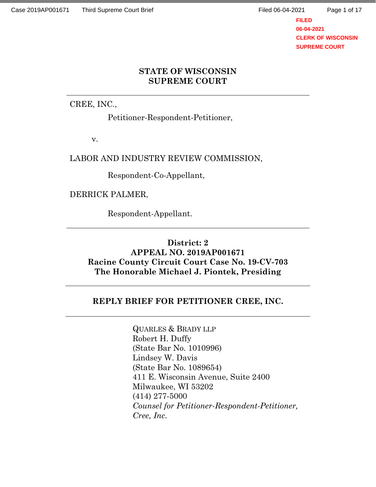Page 1 of 17

**FILED 06-04-2021 CLERK OF WISCONSIN SUPREME COURT**

# **STATE OF WISCONSIN SUPREME COURT**

CREE, INC.,

Petitioner-Respondent-Petitioner,

v.

LABOR AND INDUSTRY REVIEW COMMISSION,

Respondent-Co-Appellant,

DERRICK PALMER,

Respondent-Appellant.

## **District: 2 APPEAL NO. 2019AP001671 Racine County Circuit Court Case No. 19-CV-703 The Honorable Michael J. Piontek, Presiding**

# **REPLY BRIEF FOR PETITIONER CREE, INC.**

QUARLES & BRADY LLP Robert H. Duffy (State Bar No. 1010996) Lindsey W. Davis (State Bar No. 1089654) 411 E. Wisconsin Avenue, Suite 2400 Milwaukee, WI 53202 (414) 277-5000 *Counsel for Petitioner-Respondent-Petitioner, Cree, Inc.*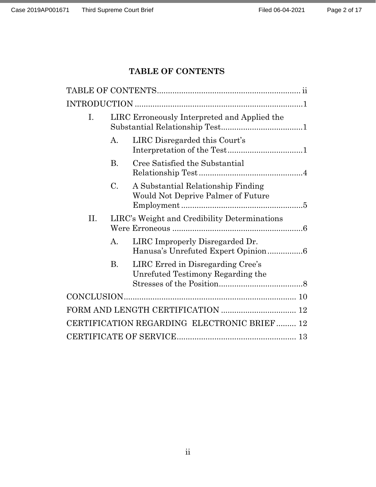# **TABLE OF CONTENTS**

| Ι.                                          | LIRC Erroneously Interpreted and Applied the |                                                                          |  |
|---------------------------------------------|----------------------------------------------|--------------------------------------------------------------------------|--|
|                                             | A.                                           | LIRC Disregarded this Court's                                            |  |
|                                             | Β.                                           | Cree Satisfied the Substantial                                           |  |
|                                             | $C_{\cdot}$                                  | A Substantial Relationship Finding<br>Would Not Deprive Palmer of Future |  |
| П.                                          |                                              | LIRC's Weight and Credibility Determinations                             |  |
|                                             | А.                                           | LIRC Improperly Disregarded Dr.<br>Hanusa's Unrefuted Expert Opinion6    |  |
|                                             | <b>B.</b>                                    | LIRC Erred in Disregarding Cree's<br>Unrefuted Testimony Regarding the   |  |
|                                             |                                              |                                                                          |  |
|                                             |                                              |                                                                          |  |
| CERTIFICATION REGARDING ELECTRONIC BRIEF 12 |                                              |                                                                          |  |
|                                             |                                              |                                                                          |  |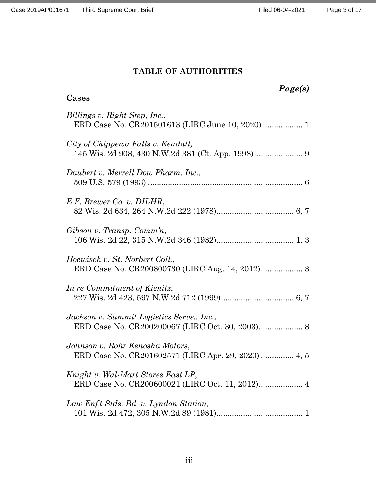# **TABLE OF AUTHORITIES**

| Page(s)<br>Cases                                                                       |
|----------------------------------------------------------------------------------------|
| Billings v. Right Step, Inc.,<br>ERD Case No. CR201501613 (LIRC June 10, 2020)  1      |
| City of Chippewa Falls v. Kendall,                                                     |
| Daubert v. Merrell Dow Pharm. Inc.,                                                    |
| E.F. Brewer Co. v. DILHR,                                                              |
| Gibson v. Transp. Comm'n,                                                              |
| Hoewisch v. St. Norbert Coll.,                                                         |
| In re Commitment of Kienitz,                                                           |
| Jackson v. Summit Logistics Servs., Inc.,                                              |
| Johnson v. Rohr Kenosha Motors,<br>ERD Case No. CR201602571 (LIRC Apr. 29, 2020)  4, 5 |
| Knight v. Wal-Mart Stores East LP,                                                     |
| Law Enf't Stds. Bd. v. Lyndon Station,                                                 |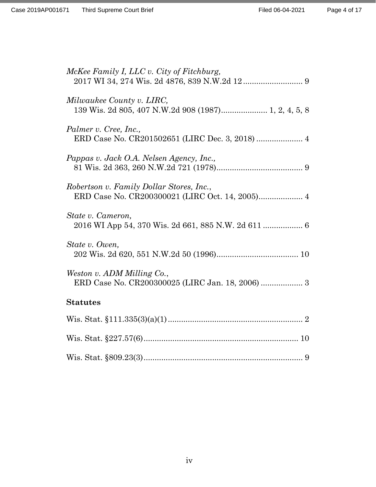| McKee Family I, LLC v. City of Fitchburg,                                                   |
|---------------------------------------------------------------------------------------------|
| Milwaukee County v. LIRC,<br>139 Wis. 2d 805, 407 N.W.2d 908 (1987) 1, 2, 4, 5, 8           |
| Palmer v. Cree, Inc.,<br>ERD Case No. CR201502651 (LIRC Dec. 3, 2018)  4                    |
| Pappas v. Jack O.A. Nelsen Agency, Inc.,                                                    |
| Robertson v. Family Dollar Stores, Inc.,<br>ERD Case No. CR200300021 (LIRC Oct. 14, 2005) 4 |
| State v. Cameron,<br>2016 WI App 54, 370 Wis. 2d 661, 885 N.W. 2d 611  6                    |
| State v. Owen,                                                                              |
| Weston v. ADM Milling Co.,                                                                  |
| <b>Statutes</b>                                                                             |
|                                                                                             |
|                                                                                             |
|                                                                                             |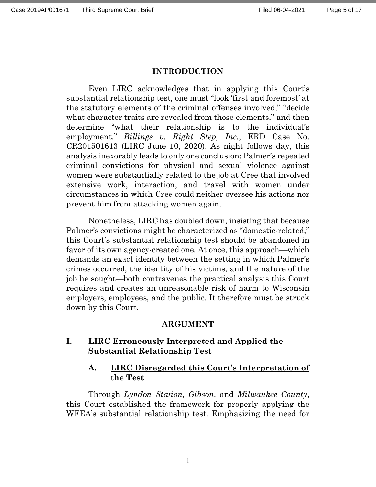#### **INTRODUCTION**

Even LIRC acknowledges that in applying this Court's substantial relationship test, one must "look 'first and foremost' at the statutory elements of the criminal offenses involved," "decide what character traits are revealed from those elements," and then determine "what their relationship is to the individual's employment." *Billings v. Right Step, Inc.*, ERD Case No. CR201501613 (LIRC June 10, 2020). As night follows day, this analysis inexorably leads to only one conclusion: Palmer's repeated criminal convictions for physical and sexual violence against women were substantially related to the job at Cree that involved extensive work, interaction, and travel with women under circumstances in which Cree could neither oversee his actions nor prevent him from attacking women again.

Nonetheless, LIRC has doubled down, insisting that because Palmer's convictions might be characterized as "domestic-related," this Court's substantial relationship test should be abandoned in favor of its own agency-created one. At once, this approach—which demands an exact identity between the setting in which Palmer's crimes occurred, the identity of his victims, and the nature of the job he sought—both contravenes the practical analysis this Court requires and creates an unreasonable risk of harm to Wisconsin employers, employees, and the public. It therefore must be struck down by this Court.

#### **ARGUMENT**

### **I. LIRC Erroneously Interpreted and Applied the Substantial Relationship Test**

### **A. LIRC Disregarded this Court's Interpretation of the Test**

Through *Lyndon Station*, *Gibson,* and *Milwaukee County*, this Court established the framework for properly applying the WFEA's substantial relationship test. Emphasizing the need for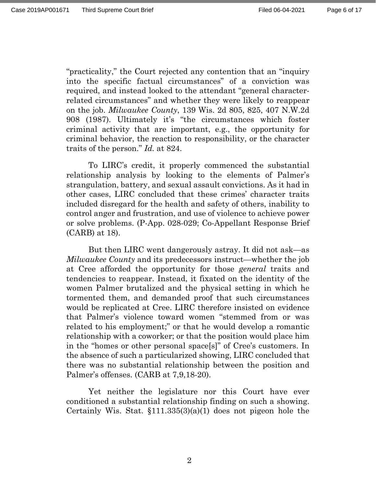"practicality," the Court rejected any contention that an "inquiry into the specific factual circumstances" of a conviction was required, and instead looked to the attendant "general characterrelated circumstances" and whether they were likely to reappear on the job. *Milwaukee County*, 139 Wis. 2d 805, 825, 407 N.W.2d 908 (1987). Ultimately it's "the circumstances which foster criminal activity that are important, e.g., the opportunity for criminal behavior, the reaction to responsibility, or the character traits of the person." *Id.* at 824.

To LIRC's credit, it properly commenced the substantial relationship analysis by looking to the elements of Palmer's strangulation, battery, and sexual assault convictions. As it had in other cases, LIRC concluded that these crimes' character traits included disregard for the health and safety of others, inability to control anger and frustration, and use of violence to achieve power or solve problems. (P-App. 028-029; Co-Appellant Response Brief (CARB) at 18).

But then LIRC went dangerously astray. It did not ask—as *Milwaukee County* and its predecessors instruct—whether the job at Cree afforded the opportunity for those *general* traits and tendencies to reappear. Instead, it fixated on the identity of the women Palmer brutalized and the physical setting in which he tormented them, and demanded proof that such circumstances would be replicated at Cree. LIRC therefore insisted on evidence that Palmer's violence toward women "stemmed from or was related to his employment;" or that he would develop a romantic relationship with a coworker; or that the position would place him in the "homes or other personal space[s]" of Cree's customers. In the absence of such a particularized showing, LIRC concluded that there was no substantial relationship between the position and Palmer's offenses. (CARB at 7,9,18-20).

Yet neither the legislature nor this Court have ever conditioned a substantial relationship finding on such a showing. Certainly Wis. Stat.  $$111.335(3)(a)(1)$  does not pigeon hole the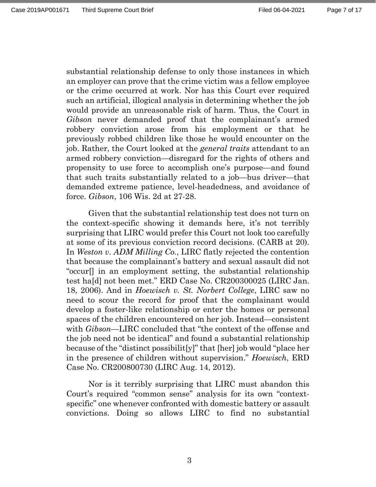Page 7 of 17

substantial relationship defense to only those instances in which an employer can prove that the crime victim was a fellow employee or the crime occurred at work. Nor has this Court ever required such an artificial, illogical analysis in determining whether the job would provide an unreasonable risk of harm. Thus, the Court in *Gibson* never demanded proof that the complainant's armed robbery conviction arose from his employment or that he previously robbed children like those he would encounter on the job. Rather, the Court looked at the *general traits* attendant to an armed robbery conviction—disregard for the rights of others and propensity to use force to accomplish one's purpose—and found that such traits substantially related to a job—bus driver—that demanded extreme patience, level-headedness, and avoidance of force. *Gibson*, 106 Wis. 2d at 27-28.

Given that the substantial relationship test does not turn on the context-specific showing it demands here, it's not terribly surprising that LIRC would prefer this Court not look too carefully at some of its previous conviction record decisions. (CARB at 20). In *Weston v. ADM Milling Co.*, LIRC flatly rejected the contention that because the complainant's battery and sexual assault did not "occur[] in an employment setting, the substantial relationship test ha[d] not been met." ERD Case No. CR200300025 (LIRC Jan. 18, 2006). And in *Hoewisch v. St. Norbert College*, LIRC saw no need to scour the record for proof that the complainant would develop a foster-like relationship or enter the homes or personal spaces of the children encountered on her job. Instead—consistent with *Gibson*—LIRC concluded that "the context of the offense and the job need not be identical" and found a substantial relationship because of the "distinct possibilit[y]" that [her] job would "place her in the presence of children without supervision." *Hoewisch*, ERD Case No. CR200800730 (LIRC Aug. 14, 2012).

Nor is it terribly surprising that LIRC must abandon this Court's required "common sense" analysis for its own "contextspecific" one whenever confronted with domestic battery or assault convictions. Doing so allows LIRC to find no substantial

3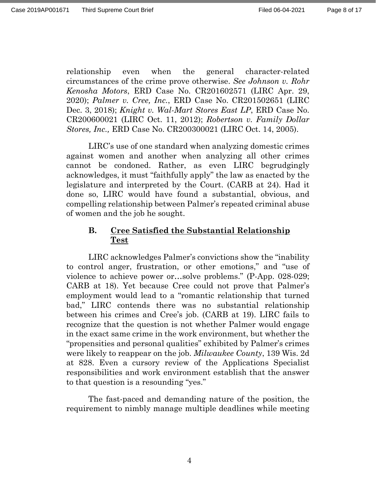relationship even when the general character-related circumstances of the crime prove otherwise. *See Johnson v. Rohr Kenosha Motors*, ERD Case No. CR201602571 (LIRC Apr. 29, 2020); *Palmer v. Cree, Inc.*, ERD Case No. CR201502651 (LIRC Dec. 3, 2018); *Knight v. Wal-Mart Stores East LP*, ERD Case No. CR200600021 (LIRC Oct. 11, 2012); *Robertson v. Family Dollar Stores, Inc.,* ERD Case No. CR200300021 (LIRC Oct. 14, 2005).

LIRC's use of one standard when analyzing domestic crimes against women and another when analyzing all other crimes cannot be condoned. Rather, as even LIRC begrudgingly acknowledges, it must "faithfully apply" the law as enacted by the legislature and interpreted by the Court. (CARB at 24). Had it done so, LIRC would have found a substantial, obvious, and compelling relationship between Palmer's repeated criminal abuse of women and the job he sought.

### **B. Cree Satisfied the Substantial Relationship Test**

LIRC acknowledges Palmer's convictions show the "inability to control anger, frustration, or other emotions," and "use of violence to achieve power or…solve problems." (P-App. 028-029; CARB at 18). Yet because Cree could not prove that Palmer's employment would lead to a "romantic relationship that turned bad," LIRC contends there was no substantial relationship between his crimes and Cree's job. (CARB at 19). LIRC fails to recognize that the question is not whether Palmer would engage in the exact same crime in the work environment, but whether the "propensities and personal qualities" exhibited by Palmer's crimes were likely to reappear on the job. *Milwaukee County*, 139 Wis. 2d at 828. Even a cursory review of the Applications Specialist responsibilities and work environment establish that the answer to that question is a resounding "yes."

The fast-paced and demanding nature of the position, the requirement to nimbly manage multiple deadlines while meeting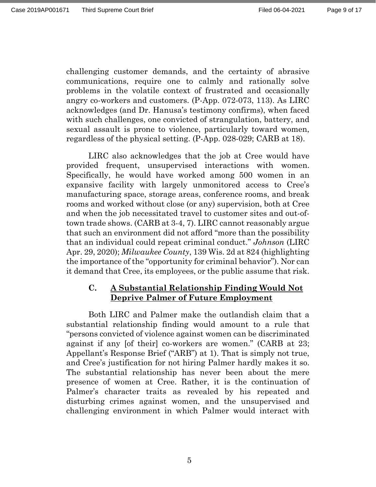Page 9 of 17

challenging customer demands, and the certainty of abrasive communications, require one to calmly and rationally solve problems in the volatile context of frustrated and occasionally angry co-workers and customers. (P-App. 072-073, 113). As LIRC acknowledges (and Dr. Hanusa's testimony confirms), when faced with such challenges, one convicted of strangulation, battery, and sexual assault is prone to violence, particularly toward women, regardless of the physical setting. (P-App. 028-029; CARB at 18).

LIRC also acknowledges that the job at Cree would have provided frequent, unsupervised interactions with women. Specifically, he would have worked among 500 women in an expansive facility with largely unmonitored access to Cree's manufacturing space, storage areas, conference rooms, and break rooms and worked without close (or any) supervision, both at Cree and when the job necessitated travel to customer sites and out-oftown trade shows. (CARB at 3-4, 7). LIRC cannot reasonably argue that such an environment did not afford "more than the possibility that an individual could repeat criminal conduct." *Johnson* (LIRC Apr. 29, 2020); *Milwaukee County*, 139 Wis. 2d at 824 (highlighting the importance of the "opportunity for criminal behavior"). Nor can it demand that Cree, its employees, or the public assume that risk.

### **C. A Substantial Relationship Finding Would Not Deprive Palmer of Future Employment**

Both LIRC and Palmer make the outlandish claim that a substantial relationship finding would amount to a rule that "persons convicted of violence against women can be discriminated against if any [of their] co-workers are women." (CARB at 23; Appellant's Response Brief ("ARB") at 1). That is simply not true, and Cree's justification for not hiring Palmer hardly makes it so. The substantial relationship has never been about the mere presence of women at Cree. Rather, it is the continuation of Palmer's character traits as revealed by his repeated and disturbing crimes against women, and the unsupervised and challenging environment in which Palmer would interact with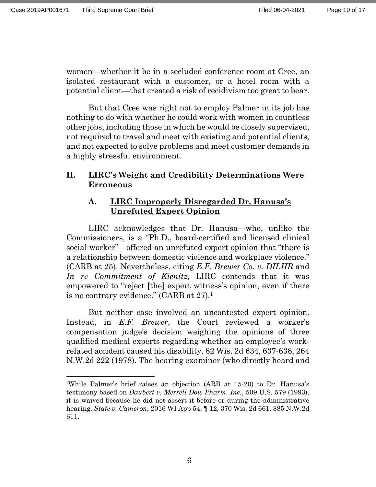$\overline{a}$ 

women—whether it be in a secluded conference room at Cree, an isolated restaurant with a customer, or a hotel room with a potential client—that created a risk of recidivism too great to bear.

But that Cree was right not to employ Palmer in its job has nothing to do with whether he could work with women in countless other jobs, including those in which he would be closely supervised, not required to travel and meet with existing and potential clients, and not expected to solve problems and meet customer demands in a highly stressful environment.

## **II. LIRC's Weight and Credibility Determinations Were Erroneous**

## **A. LIRC Improperly Disregarded Dr. Hanusa's Unrefuted Expert Opinion**

LIRC acknowledges that Dr. Hanusa—who, unlike the Commissioners, is a "Ph.D., board-certified and licensed clinical social worker"—offered an unrefuted expert opinion that "there is a relationship between domestic violence and workplace violence." (CARB at 25). Nevertheless, citing *E.F. Brewer Co. v. DILHR* and *In re Commitment of Kienitz*, LIRC contends that it was empowered to "reject [the] expert witness's opinion, even if there is no contrary evidence." (CARB at 27).1

But neither case involved an uncontested expert opinion. Instead, in *E.F. Brewer*, the Court reviewed a worker's compensation judge's decision weighing the opinions of three qualified medical experts regarding whether an employee's workrelated accident caused his disability. 82 Wis. 2d 634, 637-638, 264 N.W.2d 222 (1978). The hearing examiner (who directly heard and

<sup>1</sup> While Palmer's brief raises an objection (ARB at 15-20) to Dr. Hanusa's testimony based on *Daubert v. Merrell Dow Pharm. Inc.*, 509 U.S. 579 (1993), it is waived because he did not assert it before or during the administrative hearing. *State v. Cameron*, 2016 WI App 54, ¶ 12, 370 Wis. 2d 661, 885 N.W.2d 611.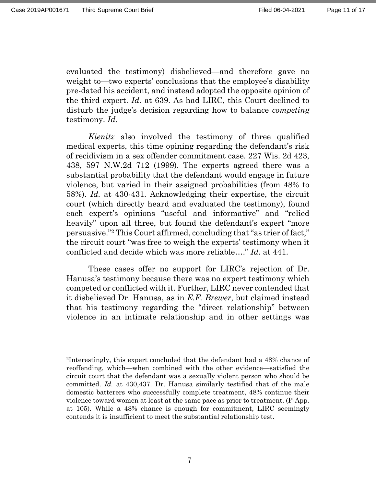$\overline{a}$ 

evaluated the testimony) disbelieved—and therefore gave no weight to—two experts' conclusions that the employee's disability pre-dated his accident, and instead adopted the opposite opinion of the third expert. *Id.* at 639. As had LIRC, this Court declined to disturb the judge's decision regarding how to balance *competing* testimony. *Id.*

*Kienitz* also involved the testimony of three qualified medical experts, this time opining regarding the defendant's risk of recidivism in a sex offender commitment case. 227 Wis. 2d 423, 438, 597 N.W.2d 712 (1999). The experts agreed there was a substantial probability that the defendant would engage in future violence, but varied in their assigned probabilities (from 48% to 58%). *Id.* at 430-431. Acknowledging their expertise, the circuit court (which directly heard and evaluated the testimony), found each expert's opinions "useful and informative" and "relied heavily" upon all three, but found the defendant's expert "more" persuasive."2 This Court affirmed, concluding that "as trier of fact," the circuit court "was free to weigh the experts' testimony when it conflicted and decide which was more reliable…." *Id.* at 441.

These cases offer no support for LIRC's rejection of Dr. Hanusa's testimony because there was no expert testimony which competed or conflicted with it. Further, LIRC never contended that it disbelieved Dr. Hanusa, as in *E.F. Brewer*, but claimed instead that his testimony regarding the "direct relationship" between violence in an intimate relationship and in other settings was

<sup>2</sup>Interestingly, this expert concluded that the defendant had a 48% chance of reoffending, which—when combined with the other evidence—satisfied the circuit court that the defendant was a sexually violent person who should be committed. *Id.* at 430,437. Dr. Hanusa similarly testified that of the male domestic batterers who successfully complete treatment, 48% continue their violence toward women at least at the same pace as prior to treatment. (P-App. at 105). While a 48% chance is enough for commitment, LIRC seemingly contends it is insufficient to meet the substantial relationship test.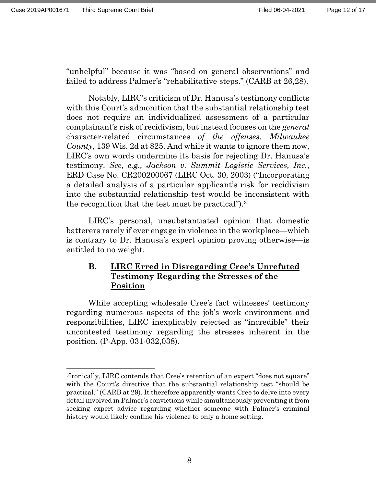$\overline{a}$ 

"unhelpful" because it was "based on general observations" and failed to address Palmer's "rehabilitative steps." (CARB at 26,28).

Notably, LIRC's criticism of Dr. Hanusa's testimony conflicts with this Court's admonition that the substantial relationship test does not require an individualized assessment of a particular complainant's risk of recidivism, but instead focuses on the *general* character-related circumstances *of the offenses*. *Milwaukee County*, 139 Wis. 2d at 825. And while it wants to ignore them now, LIRC's own words undermine its basis for rejecting Dr. Hanusa's testimony. *See, e.g., Jackson v. Summit Logistic Services, Inc.*, ERD Case No. CR200200067 (LIRC Oct. 30, 2003) ("Incorporating a detailed analysis of a particular applicant's risk for recidivism into the substantial relationship test would be inconsistent with the recognition that the test must be practical").3

LIRC's personal, unsubstantiated opinion that domestic batterers rarely if ever engage in violence in the workplace—which is contrary to Dr. Hanusa's expert opinion proving otherwise—is entitled to no weight.

# **B. LIRC Erred in Disregarding Cree's Unrefuted Testimony Regarding the Stresses of the Position**

While accepting wholesale Cree's fact witnesses' testimony regarding numerous aspects of the job's work environment and responsibilities, LIRC inexplicably rejected as "incredible" their uncontested testimony regarding the stresses inherent in the position. (P-App. 031-032,038).

<sup>3</sup>Ironically, LIRC contends that Cree's retention of an expert "does not square" with the Court's directive that the substantial relationship test "should be practical." (CARB at 29). It therefore apparently wants Cree to delve into every detail involved in Palmer's convictions while simultaneously preventing it from seeking expert advice regarding whether someone with Palmer's criminal history would likely confine his violence to only a home setting.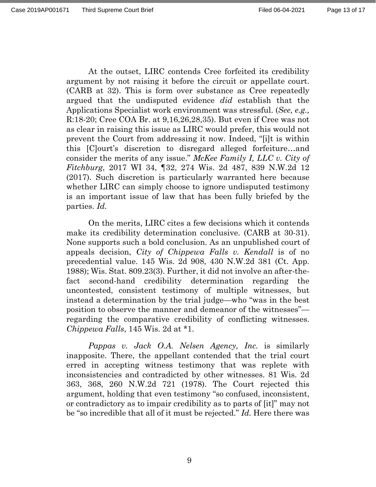At the outset, LIRC contends Cree forfeited its credibility argument by not raising it before the circuit or appellate court. (CARB at 32). This is form over substance as Cree repeatedly argued that the undisputed evidence *did* establish that the Applications Specialist work environment was stressful. (*See, e.g.,*  R:18-20; Cree COA Br. at 9,16,26,28,35). But even if Cree was not as clear in raising this issue as LIRC would prefer, this would not prevent the Court from addressing it now. Indeed, "[i]t is within this [C]ourt's discretion to disregard alleged forfeiture…and consider the merits of any issue." *McKee Family I, LLC v. City of Fitchburg*, 2017 WI 34, ¶32, 274 Wis. 2d 487, 839 N.W.2d 12 (2017). Such discretion is particularly warranted here because whether LIRC can simply choose to ignore undisputed testimony is an important issue of law that has been fully briefed by the parties. *Id.*

On the merits, LIRC cites a few decisions which it contends make its credibility determination conclusive. (CARB at 30-31). None supports such a bold conclusion. As an unpublished court of appeals decision, *City of Chippewa Falls v. Kendall* is of no precedential value. 145 Wis. 2d 908, 430 N.W.2d 381 (Ct. App. 1988); Wis. Stat. 809.23(3). Further, it did not involve an after-thefact second-hand credibility determination regarding the uncontested, consistent testimony of multiple witnesses, but instead a determination by the trial judge—who "was in the best position to observe the manner and demeanor of the witnesses" regarding the comparative credibility of conflicting witnesses. *Chippewa Falls*, 145 Wis. 2d at \*1.

*Pappas v. Jack O.A. Nelsen Agency, Inc.* is similarly inapposite. There, the appellant contended that the trial court erred in accepting witness testimony that was replete with inconsistencies and contradicted by other witnesses. 81 Wis. 2d 363, 368, 260 N.W.2d 721 (1978). The Court rejected this argument, holding that even testimony "so confused, inconsistent, or contradictory as to impair credibility as to parts of [it]" may not be "so incredible that all of it must be rejected." *Id.* Here there was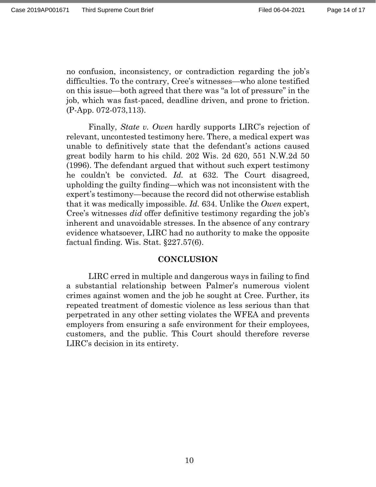no confusion, inconsistency, or contradiction regarding the job's difficulties. To the contrary, Cree's witnesses—who alone testified on this issue—both agreed that there was "a lot of pressure" in the job, which was fast-paced, deadline driven, and prone to friction. (P-App. 072-073,113).

Finally, *State v. Owen* hardly supports LIRC's rejection of relevant, uncontested testimony here. There, a medical expert was unable to definitively state that the defendant's actions caused great bodily harm to his child. 202 Wis. 2d 620, 551 N.W.2d 50 (1996). The defendant argued that without such expert testimony he couldn't be convicted. *Id.* at 632. The Court disagreed, upholding the guilty finding—which was not inconsistent with the expert's testimony—because the record did not otherwise establish that it was medically impossible. *Id.* 634. Unlike the *Owen* expert, Cree's witnesses *did* offer definitive testimony regarding the job's inherent and unavoidable stresses. In the absence of any contrary evidence whatsoever, LIRC had no authority to make the opposite factual finding. Wis. Stat. §227.57(6).

#### **CONCLUSION**

LIRC erred in multiple and dangerous ways in failing to find a substantial relationship between Palmer's numerous violent crimes against women and the job he sought at Cree. Further, its repeated treatment of domestic violence as less serious than that perpetrated in any other setting violates the WFEA and prevents employers from ensuring a safe environment for their employees, customers, and the public. This Court should therefore reverse LIRC's decision in its entirety.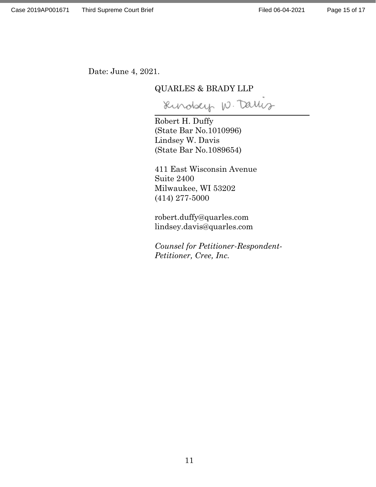$\ddot{ }$ 

Date: June 4, 2021.

#### QUARLES & BRADY LLP

Rindsey W. Darlis

Robert H. Duffy (State Bar No.1010996) Lindsey W. Davis (State Bar No.1089654)

411 East Wisconsin Avenue Suite 2400 Milwaukee, WI 53202 (414) 277-5000

robert.duffy@quarles.com lindsey.davis@quarles.com

*Counsel for Petitioner-Respondent-Petitioner, Cree, Inc.*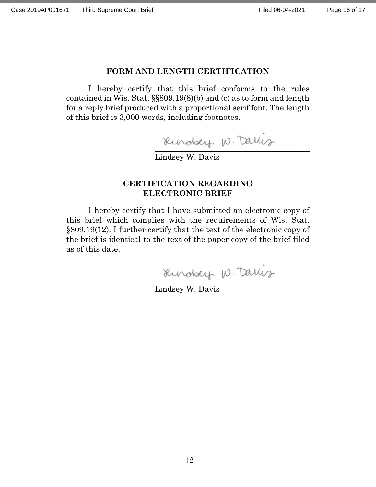$\ddot{ }$ 

 $\overline{a}$ 

#### **FORM AND LENGTH CERTIFICATION**

I hereby certify that this brief conforms to the rules contained in Wis. Stat. §§809.19(8)(b) and (c) as to form and length for a reply brief produced with a proportional serif font. The length of this brief is 3,000 words, including footnotes.

Rundsey W. Darlis

Lindsey W. Davis

#### **CERTIFICATION REGARDING ELECTRONIC BRIEF**

I hereby certify that I have submitted an electronic copy of this brief which complies with the requirements of Wis. Stat. §809.19(12). I further certify that the text of the electronic copy of the brief is identical to the text of the paper copy of the brief filed as of this date.

Rundsey W. Darlig